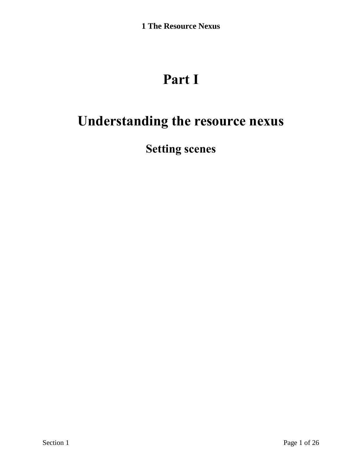# **Part I**

# <span id="page-0-0"></span>**Understanding the resource nexus**

**Setting scenes**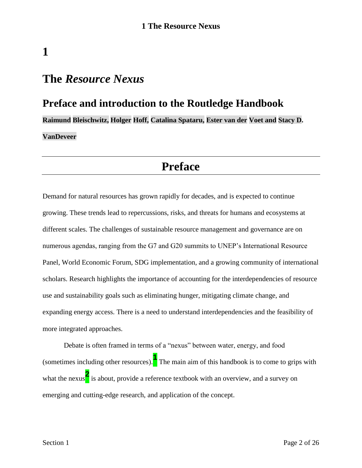<span id="page-1-0"></span>**1**

### **Preface and introduction to the Routledge Handbook**

**Raimund Bleischwitz, Holger Hoff, Catalina Spataru, Ester van der Voet and Stacy D. VanDeveer**

### **Preface**

Demand for natural resources has grown rapidly for decades, and is expected to continue growing. These trends lead to repercussions, risks, and threats for humans and ecosystems at different scales. The challenges of sustainable resource management and governance are on numerous agendas, ranging from the G7 and G20 summits to UNEP's International Resource Panel, World Economic Forum, SDG implementation, and a growing community of international scholars. Research highlights the importance of accounting for the interdependencies of resource use and sustainability goals such as eliminating hunger, mitigating climate change, and expanding energy access. There is a need to understand interdependencies and the feasibility of more integrated approaches.

Debate is often framed in terms of a "nexus" between water, energy, and food (sometimes including other resources).**<sup>1</sup>** The main aim of this handbook is to come to grips with what the nexus<sup>2</sup> is about, provide a reference textbook with an overview, and a survey on emerging and cutting-edge research, and application of the concept.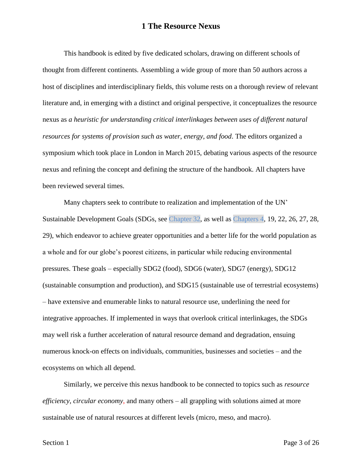This handbook is edited by five dedicated scholars, drawing on different schools of thought from different continents. Assembling a wide group of more than 50 authors across a host of disciplines and interdisciplinary fields, this volume rests on a thorough review of relevant literature and, in emerging with a distinct and original perspective, it conceptualizes the resource nexus as *a heuristic for understanding critical interlinkages between uses of different natural resources for systems of provision such as water, energy, and food*. The editors organized a symposium which took place in London in March 2015, debating various aspects of the resource nexus and refining the concept and defining the structure of the handbook. All chapters have been reviewed several times.

Many chapters seek to contribute to realization and implementation of the UN' Sustainable Development Goals (SDGs, see Chapter 32, as well as Chapters 4, 19, 22, 26, 27, 28, 29), which endeavor to achieve greater opportunities and a better life for the world population as a whole and for our globe's poorest citizens, in particular while reducing environmental pressures. These goals – especially SDG2 (food), SDG6 (water), SDG7 (energy), SDG12 (sustainable consumption and production), and SDG15 (sustainable use of terrestrial ecosystems) – have extensive and enumerable links to natural resource use, underlining the need for integrative approaches. If implemented in ways that overlook critical interlinkages, the SDGs may well risk a further acceleration of natural resource demand and degradation, ensuing numerous knock-on effects on individuals, communities, businesses and societies – and the ecosystems on which all depend.

Similarly, we perceive this nexus handbook to be connected to topics such as *resource efficiency*, *circular economy*, and many others – all grappling with solutions aimed at more sustainable use of natural resources at different levels (micro, meso, and macro).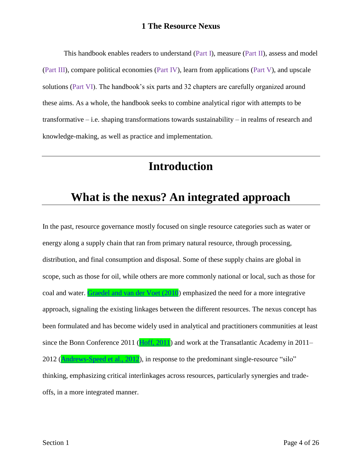This handbook enables readers to understand [\(Part I\)](#page-0-0), measure (Part II), assess and model (Part III), compare political economies (Part IV), learn from applications (Part V), and upscale solutions (Part VI). The handbook's six parts and 32 chapters are carefully organized around these aims. As a whole, the handbook seeks to combine analytical rigor with attempts to be transformative – i.e. shaping transformations towards sustainability – in realms of research and knowledge-making, as well as practice and implementation.

### **Introduction**

## **What is the nexus? An integrated approach**

In the past, resource governance mostly focused on single resource categories such as water or energy along a supply chain that ran from primary natural resource, through processing, distribution, and final consumption and disposal. Some of these supply chains are global in scope, such as those for oil, while others are more commonly national or local, such as those for coal and water. [Graedel and van der Voet \(2010\)](file:///C:/Users/Admin/Documents/autosave/15031-1345-FullBook.docx%23Ref_15_FILE150311345P1001) emphasized the need for a more integrative approach, signaling the existing linkages between the different resources. The nexus concept has been formulated and has become widely used in analytical and practitioners communities at least since the Bonn Conference 2011 [\(Hoff, 2011\)](file:///C:/Users/Admin/Documents/autosave/15031-1345-FullBook.docx%23Ref_18_FILE150311345P1001) and work at the Transatlantic Academy in 2011– 2012 [\(Andrews-Speed et al., 2012\)](file:///C:/Users/Admin/Documents/autosave/15031-1345-FullBook.docx%23Ref_3_FILE150311345P1001), in response to the predominant single-resource "silo" thinking, emphasizing critical interlinkages across resources, particularly synergies and tradeoffs, in a more integrated manner.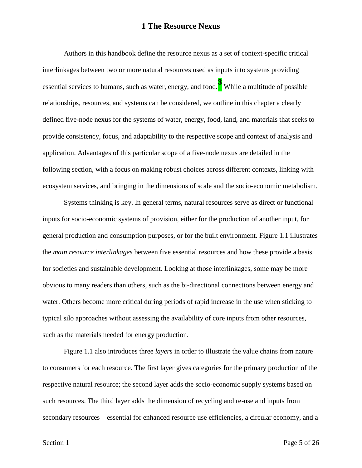Authors in this handbook define the resource nexus as a set of context-specific critical interlinkages between two or more natural resources used as inputs into systems providing essential services to humans, such as water, energy, and food.**<sup>3</sup>** While a multitude of possible relationships, resources, and systems can be considered, we outline in this chapter a clearly defined five-node nexus for the systems of water, energy, food, land, and materials that seeks to provide consistency, focus, and adaptability to the respective scope and context of analysis and application. Advantages of this particular scope of a five-node nexus are detailed in the following section, with a focus on making robust choices across different contexts, linking with ecosystem services, and bringing in the dimensions of scale and the socio-economic metabolism.

Systems thinking is key. In general terms, natural resources serve as direct or functional inputs for socio-economic systems of provision, either for the production of another input, for general production and consumption purposes, or for the built environment. Figure 1.1 illustrates the *main resource interlinkages* between five essential resources and how these provide a basis for societies and sustainable development. Looking at those interlinkages, some may be more obvious to many readers than others, such as the bi-directional connections between energy and water. Others become more critical during periods of rapid increase in the use when sticking to typical silo approaches without assessing the availability of core inputs from other resources, such as the materials needed for energy production.

Figure 1.1 also introduces three *layers* in order to illustrate the value chains from nature to consumers for each resource. The first layer gives categories for the primary production of the respective natural resource; the second layer adds the socio-economic supply systems based on such resources. The third layer adds the dimension of recycling and re-use and inputs from secondary resources – essential for enhanced resource use efficiencies, a circular economy, and a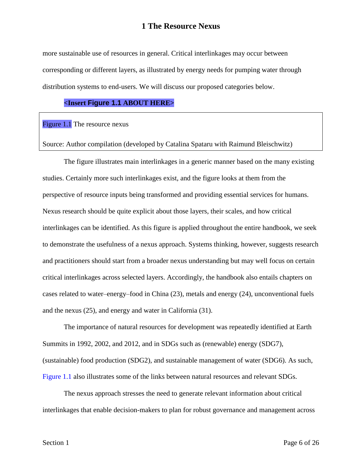more sustainable use of resources in general. Critical interlinkages may occur between corresponding or different layers, as illustrated by energy needs for pumping water through distribution systems to end-users. We will discuss our proposed categories below.

#### **<Insert [Figure 1.1](#page-5-0) ABOUT HERE>**

<span id="page-5-0"></span>Figure 1.1 The resource nexus

Source: Author compilation (developed by Catalina Spataru with Raimund Bleischwitz)

The figure illustrates main interlinkages in a generic manner based on the many existing studies. Certainly more such interlinkages exist, and the figure looks at them from the perspective of resource inputs being transformed and providing essential services for humans. Nexus research should be quite explicit about those layers, their scales, and how critical interlinkages can be identified. As this figure is applied throughout the entire handbook, we seek to demonstrate the usefulness of a nexus approach. Systems thinking, however, suggests research and practitioners should start from a broader nexus understanding but may well focus on certain critical interlinkages across selected layers. Accordingly, the handbook also entails chapters on cases related to water–energy–food in China (23), metals and energy (24), unconventional fuels and the nexus (25), and energy and water in California (31).

The importance of natural resources for development was repeatedly identified at Earth Summits in 1992, 2002, and 2012, and in SDGs such as (renewable) energy (SDG7), (sustainable) food production (SDG2), and sustainable management of water (SDG6). As such, [Figure 1.1](#page-5-0) also illustrates some of the links between natural resources and relevant SDGs.

The nexus approach stresses the need to generate relevant information about critical interlinkages that enable decision-makers to plan for robust governance and management across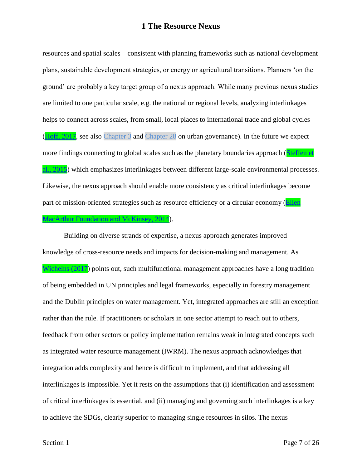resources and spatial scales – consistent with planning frameworks such as national development plans, sustainable development strategies, or energy or agricultural transitions. Planners 'on the ground' are probably a key target group of a nexus approach. While many previous nexus studies are limited to one particular scale, e.g. the national or regional levels, analyzing interlinkages helps to connect across scales, from small, local places to international trade and global cycles [\(Hoff, 2017,](file:///C:/Users/Admin/Documents/autosave/15031-1345-FullBook.docx%23Ref_19_FILE150311345P1001) see also Chapter 3 and Chapter 28 on urban governance). In the future we expect more findings connecting to global scales such as the planetary boundaries approach (Steffen et [al., 2015\)](file:///C:/Users/Admin/Documents/autosave/15031-1345-FullBook.docx%23Ref_33_FILE150311345P1001) which emphasizes interlinkages between different large-scale environmental processes. Likewise, the nexus approach should enable more consistency as critical interlinkages become part of mission-oriented strategies such as resource efficiency or a circular economy [\(Ellen](file:///C:/Users/Admin/Documents/autosave/15031-1345-FullBook.docx%23Ref_12_FILE150311345P1001)  [MacArthur Foundation and McKinsey, 2014\)](file:///C:/Users/Admin/Documents/autosave/15031-1345-FullBook.docx%23Ref_12_FILE150311345P1001).

Building on diverse strands of expertise, a nexus approach generates improved knowledge of cross-resource needs and impacts for decision-making and management. As [Wichelns \(2017\)](file:///C:/Users/Admin/Documents/autosave/15031-1345-FullBook.docx%23Ref_38_FILE150311345P1001) points out, such multifunctional management approaches have a long tradition of being embedded in UN principles and legal frameworks, especially in forestry management and the Dublin principles on water management. Yet, integrated approaches are still an exception rather than the rule. If practitioners or scholars in one sector attempt to reach out to others, feedback from other sectors or policy implementation remains weak in integrated concepts such as integrated water resource management (IWRM). The nexus approach acknowledges that integration adds complexity and hence is difficult to implement, and that addressing all interlinkages is impossible. Yet it rests on the assumptions that (i) identification and assessment of critical interlinkages is essential, and (ii) managing and governing such interlinkages is a key to achieve the SDGs, clearly superior to managing single resources in silos. The nexus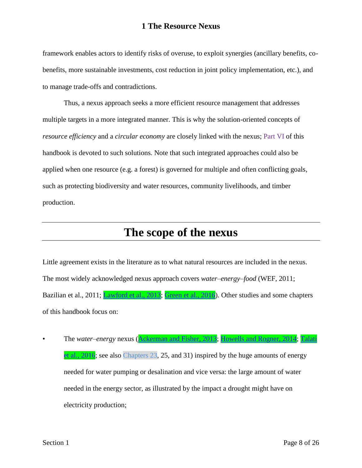framework enables actors to identify risks of overuse, to exploit synergies (ancillary benefits, cobenefits, more sustainable investments, cost reduction in joint policy implementation, etc.), and to manage trade-offs and contradictions.

Thus, a nexus approach seeks a more efficient resource management that addresses multiple targets in a more integrated manner. This is why the solution-oriented concepts of *resource efficiency* and a *circular economy* are closely linked with the nexus; Part VI of this handbook is devoted to such solutions. Note that such integrated approaches could also be applied when one resource (e.g. a forest) is governed for multiple and often conflicting goals, such as protecting biodiversity and water resources, community livelihoods, and timber production.

### **The scope of the nexus**

Little agreement exists in the literature as to what natural resources are included in the nexus. The most widely acknowledged nexus approach covers *water–energy–food* (WEF, 2011; Bazilian et al., 2011; **Lawford et al., 2013**; [Green et al., 2016\)](file:///C:/Users/Admin/Documents/autosave/15031-1345-FullBook.docx%23Ref_16_FILE150311345P1001). Other studies and some chapters of this handbook focus on:

• The *water*–*energy* nexus [\(Ackerman and Fisher, 2013;](file:///C:/Users/Admin/Documents/autosave/15031-1345-FullBook.docx%23Ref_1_FILE150311345P1001) [Howells and Rogner, 2014;](file:///C:/Users/Admin/Documents/autosave/15031-1345-FullBook.docx%23Ref_20_FILE150311345P1001) [Talati](file:///C:/Users/Admin/Documents/autosave/15031-1345-FullBook.docx%23Ref_36_FILE150311345P1001)  [et al., 2016;](file:///C:/Users/Admin/Documents/autosave/15031-1345-FullBook.docx%23Ref_36_FILE150311345P1001) see also Chapters 23, 25, and 31) inspired by the huge amounts of energy needed for water pumping or desalination and vice versa: the large amount of water needed in the energy sector, as illustrated by the impact a drought might have on electricity production;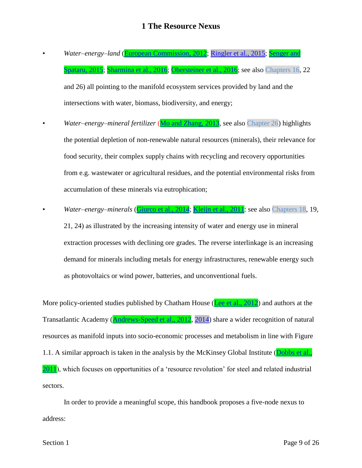- *Water–energy*–*land* [\(European Commission, 2012;](file:///C:/Users/Admin/Documents/autosave/15031-1345-FullBook.docx%23Ref_13_FILE150311345P1001) [Ringler et al., 2015;](file:///C:/Users/Admin/Documents/autosave/15031-1345-Ref%20Mismatch%20Report.docx%23LStERROR_204) Senger and Spataru, [2015;](file:///C:/Users/Admin/Documents/autosave/15031-1345-FullBook.docx%23Ref_31_FILE150311345P1001) [Sharmina et al., 2016;](file:///C:/Users/Admin/Documents/autosave/15031-1345-FullBook.docx%23Ref_32_FILE150311345P1001) [Obersteiner et al., 2016;](file:///C:/Users/Admin/Documents/autosave/15031-1345-FullBook.docx%23Ref_29_FILE150311345P1001) see also Chapters 16, 22 and 26) all pointing to the manifold ecosystem services provided by land and the intersections with water, biomass, biodiversity, and energy;
- *Water–energy–mineral fertilizer* [\(Mo and Zhang, 2013,](file:///C:/Users/Admin/Documents/autosave/15031-1345-FullBook.docx%23Ref_26_FILE150311345P1001) see also Chapter 26) highlights the potential depletion of non-renewable natural resources (minerals), their relevance for food security, their complex supply chains with recycling and recovery opportunities from e.g. wastewater or agricultural residues, and the potential environmental risks from accumulation of these minerals via eutrophication;
- *Water–energy–minerals* [\(Giurco et al., 2014;](file:///C:/Users/Admin/Documents/autosave/15031-1345-FullBook.docx%23Ref_14_FILE150311345P1001) [Kleijn et al., 2011:](file:///C:/Users/Admin/Documents/autosave/15031-1345-FullBook.docx%23Ref_21_FILE150311345P1001) see also Chapters 18, 19, 21, 24) as illustrated by the increasing intensity of water and energy use in mineral extraction processes with declining ore grades. The reverse interlinkage is an increasing demand for minerals including metals for energy infrastructures, renewable energy such as photovoltaics or wind power, batteries, and unconventional fuels.

More policy-oriented studies published by Chatham House [\(Lee et al., 2012\)](file:///C:/Users/Admin/Documents/autosave/15031-1345-FullBook.docx%23Ref_24_FILE150311345P1001) and authors at the Transatlantic Academy [\(Andrews-Speed et al., 2012,](file:///C:/Users/Admin/Documents/autosave/15031-1345-FullBook.docx%23Ref_3_FILE150311345P1001) [2014\)](file:///C:/Users/Admin/Documents/autosave/15031-1345-Ref%20Mismatch%20Report.docx%23LStERROR_203) share a wider recognition of natural resources as manifold inputs into socio-economic processes and metabolism in line with Figure 1.1. A similar approach is taken in the analysis by the McKinsey Global Institute (Dobbs et al., [2011\)](file:///C:/Users/Admin/Documents/autosave/15031-1345-FullBook.docx%23Ref_10_FILE150311345P1001), which focuses on opportunities of a 'resource revolution' for steel and related industrial sectors.

In order to provide a meaningful scope, this handbook proposes a five-node nexus to address: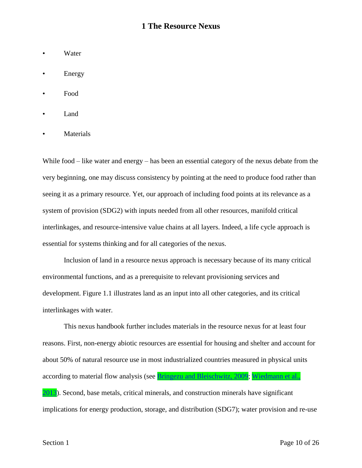- Water
- **Energy**
- Food
- Land
- **Materials**

While food – like water and energy – has been an essential category of the nexus debate from the very beginning, one may discuss consistency by pointing at the need to produce food rather than seeing it as a primary resource. Yet, our approach of including food points at its relevance as a system of provision (SDG2) with inputs needed from all other resources, manifold critical interlinkages, and resource-intensive value chains at all layers. Indeed, a life cycle approach is essential for systems thinking and for all categories of the nexus.

Inclusion of land in a resource nexus approach is necessary because of its many critical environmental functions, and as a prerequisite to relevant provisioning services and development. Figure 1.1 illustrates land as an input into all other categories, and its critical interlinkages with water.

This nexus handbook further includes materials in the resource nexus for at least four reasons. First, non-energy abiotic resources are essential for housing and shelter and account for about 50% of natural resource use in most industrialized countries measured in physical units according to material flow analysis (see **Bringezu and Bleischwitz**, 2009; Wiedmann et al., [2013\)](file:///C:/Users/Admin/Documents/autosave/15031-1345-FullBook.docx%23Ref_39_FILE150311345P1001). Second, base metals, critical minerals, and construction minerals have significant implications for energy production, storage, and distribution (SDG7); water provision and re-use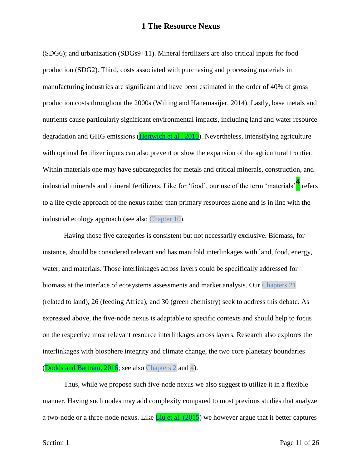(SDG6); and urbanization (SDGs9+11). Mineral fertilizers are also critical inputs for food production (SDG2). Third, costs associated with purchasing and processing materials in manufacturing industries are significant and have been estimated in the order of 40% of gross production costs throughout the 2000s (Wilting and Hanemaaijer, 2014). Lastly, base metals and nutrients cause particularly significant environmental impacts, including land and water resource degradation and GHG emissions (**Hertwich et al., 2010**). Nevertheless, intensifying agriculture with optimal fertilizer inputs can also prevent or slow the expansion of the agricultural frontier. Within materials one may have subcategories for metals and critical minerals, construction, and industrial minerals and mineral fertilizers. Like for 'food', our use of the term 'materials'**<sup>4</sup>** refers to a life cycle approach of the nexus rather than primary resources alone and is in line with the industrial ecology approach (see also Chapter 10).

Having those five categories is consistent but not necessarily exclusive. Biomass, for instance, should be considered relevant and has manifold interlinkages with land, food, energy, water, and materials. Those interlinkages across layers could be specifically addressed for biomass at the interface of ecosystems assessments and market analysis. Our Chapters 21 (related to land), 26 (feeding Africa), and 30 (green chemistry) seek to address this debate. As expressed above, the five-node nexus is adaptable to specific contexts and should help to focus on the respective most relevant resource interlinkages across layers. Research also explores the interlinkages with biosphere integrity and climate change, the two core planetary boundaries [\(Dodds and Bartram, 2016;](file:///C:/Users/Admin/Documents/autosave/15031-1345-FullBook.docx%23Ref_11_FILE150311345P1001) see also Chapters 2 and 4).

Thus, while we propose such five-node nexus we also suggest to utilize it in a flexible manner. Having such nodes may add complexity compared to most previous studies that analyze a two-node or a three-node nexus. Like  $\frac{\text{Liu et al.} (2015)}{\text{Liu et al.} (2015)}$  we however argue that it better captures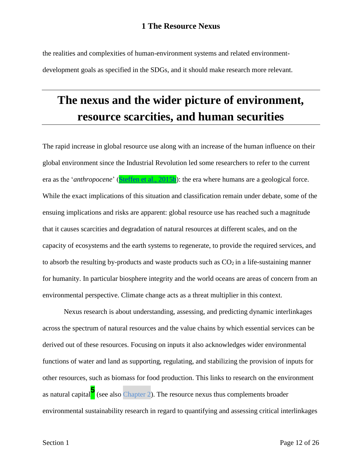the realities and complexities of human-environment systems and related environmentdevelopment goals as specified in the SDGs, and it should make research more relevant.

# **The nexus and the wider picture of environment, resource scarcities, and human securities**

The rapid increase in global resource use along with an increase of the human influence on their global environment since the Industrial Revolution led some researchers to refer to the current era as the '*anthropocene*' [\(Steffen et al., 2015b\)](file:///C:/Users/Admin/Documents/autosave/15031-1345-FullBook.docx%23Ref_34_FILE150311345P1001): the era where humans are a geological force. While the exact implications of this situation and classification remain under debate, some of the ensuing implications and risks are apparent: global resource use has reached such a magnitude that it causes scarcities and degradation of natural resources at different scales, and on the capacity of ecosystems and the earth systems to regenerate, to provide the required services, and to absorb the resulting by-products and waste products such as  $CO<sub>2</sub>$  in a life-sustaining manner for humanity. In particular biosphere integrity and the world oceans are areas of concern from an environmental perspective. Climate change acts as a threat multiplier in this context.

Nexus research is about understanding, assessing, and predicting dynamic interlinkages across the spectrum of natural resources and the value chains by which essential services can be derived out of these resources. Focusing on inputs it also acknowledges wider environmental functions of water and land as supporting, regulating, and stabilizing the provision of inputs for other resources, such as biomass for food production. This links to research on the environment as natural capital**<sup>5</sup>** (see also Chapter 2). The resource nexus thus complements broader environmental sustainability research in regard to quantifying and assessing critical interlinkages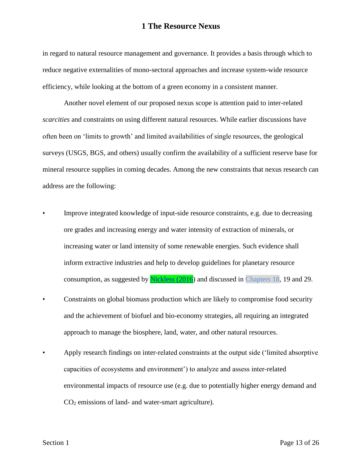in regard to natural resource management and governance. It provides a basis through which to reduce negative externalities of mono-sectoral approaches and increase system-wide resource efficiency, while looking at the bottom of a green economy in a consistent manner.

Another novel element of our proposed nexus scope is attention paid to inter-related *scarcities* and constraints on using different natural resources. While earlier discussions have often been on 'limits to growth' and limited availabilities of single resources, the geological surveys (USGS, BGS, and others) usually confirm the availability of a sufficient reserve base for mineral resource supplies in coming decades. Among the new constraints that nexus research can address are the following:

- Improve integrated knowledge of input-side resource constraints, e.g. due to decreasing ore grades and increasing energy and water intensity of extraction of minerals, or increasing water or land intensity of some renewable energies. Such evidence shall inform extractive industries and help to develop guidelines for planetary resource consumption, as suggested by [Nickless \(2016\)](file:///C:/Users/Admin/Documents/autosave/15031-1345-FullBook.docx%23Ref_28_FILE150311345P1001) and discussed in Chapters 18, 19 and 29.
- Constraints on global biomass production which are likely to compromise food security and the achievement of biofuel and bio-economy strategies, all requiring an integrated approach to manage the biosphere, land, water, and other natural resources.
- Apply research findings on inter-related constraints at the output side ('limited absorptive capacities of ecosystems and environment') to analyze and assess inter-related environmental impacts of resource use (e.g. due to potentially higher energy demand and CO<sup>2</sup> emissions of land- and water-smart agriculture).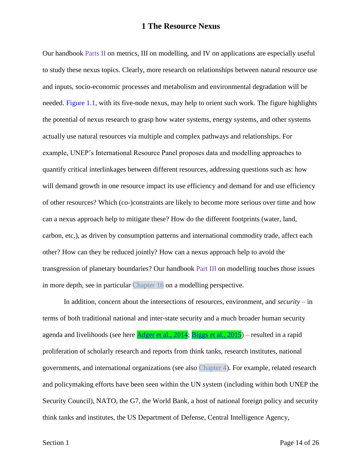Our handbook Parts II on metrics, III on modelling, and IV on applications are especially useful to study these nexus topics. Clearly, more research on relationships between natural resource use and inputs, socio-economic processes and metabolism and environmental degradation will be needed. [Figure 1.1,](#page-5-0) with its five-node nexus, may help to orient such work. The figure highlights the potential of nexus research to grasp how water systems, energy systems, and other systems actually use natural resources via multiple and complex pathways and relationships. For example, UNEP's International Resource Panel proposes data and modelling approaches to quantify critical interlinkages between different resources, addressing questions such as: how will demand growth in one resource impact its use efficiency and demand for and use efficiency of other resources? Which (co-)constraints are likely to become more serious over time and how can a nexus approach help to mitigate these? How do the different footprints (water, land, carbon, etc.), as driven by consumption patterns and international commodity trade, affect each other? How can they be reduced jointly? How can a nexus approach help to avoid the transgression of planetary boundaries? Our handbook Part III on modelling touches those issues in more depth, see in particular Chapter 16 on a modelling perspective.

In addition, concern about the intersections of resources, environment, and *security* – in terms of both traditional national and inter-state security and a much broader human security agenda and livelihoods (see here [Adger et al., 2014;](file:///C:/Users/Admin/Documents/autosave/15031-1345-FullBook.docx%23Ref_2_FILE150311345P1001) [Biggs et al., 2015\)](file:///C:/Users/Admin/Documents/autosave/15031-1345-FullBook.docx%23Ref_6_FILE150311345P1001) – resulted in a rapid proliferation of scholarly research and reports from think tanks, research institutes, national governments, and international organizations (see also Chapter 4). For example, related research and policymaking efforts have been seen within the UN system (including within both UNEP the Security Council), NATO, the G7, the World Bank, a host of national foreign policy and security think tanks and institutes, the US Department of Defense, Central Intelligence Agency,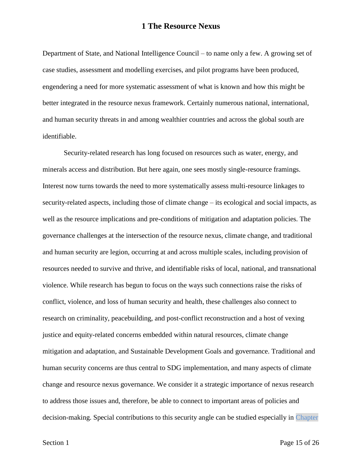Department of State, and National Intelligence Council – to name only a few. A growing set of case studies, assessment and modelling exercises, and pilot programs have been produced, engendering a need for more systematic assessment of what is known and how this might be better integrated in the resource nexus framework. Certainly numerous national, international, and human security threats in and among wealthier countries and across the global south are identifiable.

Security-related research has long focused on resources such as water, energy, and minerals access and distribution. But here again, one sees mostly single-resource framings. Interest now turns towards the need to more systematically assess multi-resource linkages to security-related aspects, including those of climate change – its ecological and social impacts, as well as the resource implications and pre-conditions of mitigation and adaptation policies. The governance challenges at the intersection of the resource nexus, climate change, and traditional and human security are legion, occurring at and across multiple scales, including provision of resources needed to survive and thrive, and identifiable risks of local, national, and transnational violence. While research has begun to focus on the ways such connections raise the risks of conflict, violence, and loss of human security and health, these challenges also connect to research on criminality, peacebuilding, and post-conflict reconstruction and a host of vexing justice and equity-related concerns embedded within natural resources, climate change mitigation and adaptation, and Sustainable Development Goals and governance. Traditional and human security concerns are thus central to SDG implementation, and many aspects of climate change and resource nexus governance. We consider it a strategic importance of nexus research to address those issues and, therefore, be able to connect to important areas of policies and decision-making. Special contributions to this security angle can be studied especially in Chapter

Section 1 Page 15 of 26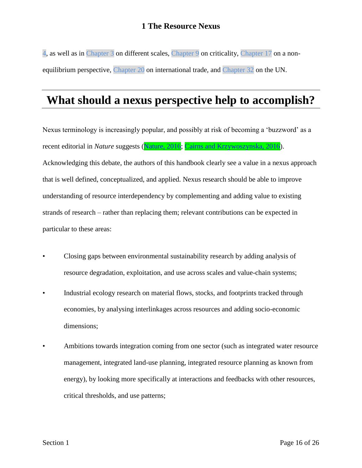4, as well as in Chapter 3 on different scales, Chapter 9 on criticality, Chapter 17 on a nonequilibrium perspective, Chapter 20 on international trade, and Chapter 32 on the UN.

### **What should a nexus perspective help to accomplish?**

Nexus terminology is increasingly popular, and possibly at risk of becoming a 'buzzword' as a recent editorial in *Nature* suggests [\(Nature, 2016;](file:///C:/Users/Admin/Documents/autosave/15031-1345-FullBook.docx%23Ref_27_FILE150311345P1001) [Cairns and Krzywoszynska, 2016\)](file:///C:/Users/Admin/Documents/autosave/15031-1345-FullBook.docx%23Ref_9_FILE150311345P1001). Acknowledging this debate, the authors of this handbook clearly see a value in a nexus approach that is well defined, conceptualized, and applied. Nexus research should be able to improve understanding of resource interdependency by complementing and adding value to existing strands of research – rather than replacing them; relevant contributions can be expected in particular to these areas:

- Closing gaps between environmental sustainability research by adding analysis of resource degradation, exploitation, and use across scales and value-chain systems;
- Industrial ecology research on material flows, stocks, and footprints tracked through economies, by analysing interlinkages across resources and adding socio-economic dimensions;
- Ambitions towards integration coming from one sector (such as integrated water resource management, integrated land-use planning, integrated resource planning as known from energy), by looking more specifically at interactions and feedbacks with other resources, critical thresholds, and use patterns;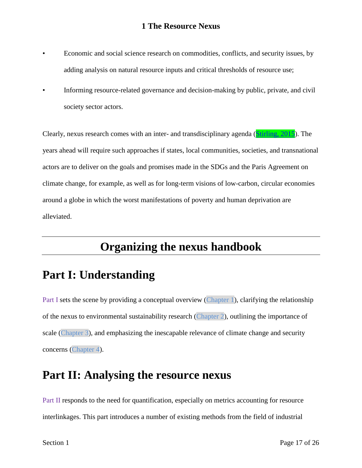- Economic and social science research on commodities, conflicts, and security issues, by adding analysis on natural resource inputs and critical thresholds of resource use;
- Informing resource-related governance and decision-making by public, private, and civil society sector actors.

Clearly, nexus research comes with an inter- and transdisciplinary agenda [\(Stirling, 2015\)](file:///C:/Users/Admin/Documents/autosave/15031-1345-FullBook.docx%23Ref_35_FILE150311345P1001). The years ahead will require such approaches if states, local communities, societies, and transnational actors are to deliver on the goals and promises made in the SDGs and the Paris Agreement on climate change, for example, as well as for long-term visions of low-carbon, circular economies around a globe in which the worst manifestations of poverty and human deprivation are alleviated.

## **Organizing the nexus handbook**

### **Part I: Understanding**

[Part I](#page-0-0) sets the scene by providing a conceptual overview [\(Chapter 1\)](#page-1-0), clarifying the relationship of the nexus to environmental sustainability research (Chapter 2), outlining the importance of scale (Chapter 3), and emphasizing the inescapable relevance of climate change and security concerns (Chapter 4).

### **Part II: Analysing the resource nexus**

Part II responds to the need for quantification, especially on metrics accounting for resource interlinkages. This part introduces a number of existing methods from the field of industrial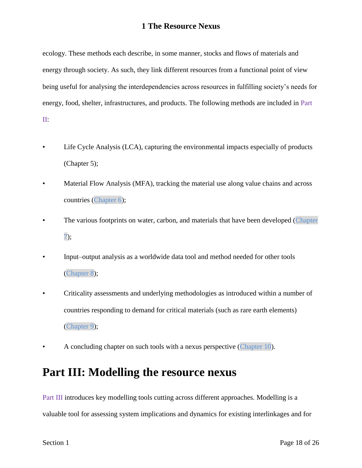ecology. These methods each describe, in some manner, stocks and flows of materials and energy through society. As such, they link different resources from a functional point of view being useful for analysing the interdependencies across resources in fulfilling society's needs for energy, food, shelter, infrastructures, and products. The following methods are included in Part II:

- Life Cycle Analysis (LCA), capturing the environmental impacts especially of products (Chapter 5);
- Material Flow Analysis (MFA), tracking the material use along value chains and across countries (Chapter 6);
- The various footprints on water, carbon, and materials that have been developed (Chapter 7);
- Input–output analysis as a worldwide data tool and method needed for other tools (Chapter 8);
- Criticality assessments and underlying methodologies as introduced within a number of countries responding to demand for critical materials (such as rare earth elements) (Chapter 9);
- A concluding chapter on such tools with a nexus perspective (Chapter 10).

### **Part III: Modelling the resource nexus**

Part III introduces key modelling tools cutting across different approaches. Modelling is a valuable tool for assessing system implications and dynamics for existing interlinkages and for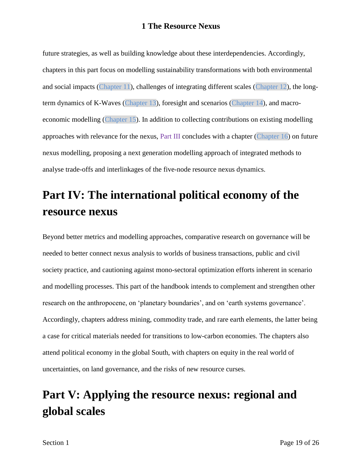future strategies, as well as building knowledge about these interdependencies. Accordingly, chapters in this part focus on modelling sustainability transformations with both environmental and social impacts (Chapter 11), challenges of integrating different scales (Chapter 12), the longterm dynamics of K-Waves (Chapter 13), foresight and scenarios (Chapter 14), and macroeconomic modelling (Chapter 15). In addition to collecting contributions on existing modelling approaches with relevance for the nexus, Part III concludes with a chapter (Chapter 16) on future nexus modelling, proposing a next generation modelling approach of integrated methods to analyse trade-offs and interlinkages of the five-node resource nexus dynamics.

## **Part IV: The international political economy of the resource nexus**

Beyond better metrics and modelling approaches, comparative research on governance will be needed to better connect nexus analysis to worlds of business transactions, public and civil society practice, and cautioning against mono-sectoral optimization efforts inherent in scenario and modelling processes. This part of the handbook intends to complement and strengthen other research on the anthropocene, on 'planetary boundaries', and on 'earth systems governance'. Accordingly, chapters address mining, commodity trade, and rare earth elements, the latter being a case for critical materials needed for transitions to low-carbon economies. The chapters also attend political economy in the global South, with chapters on equity in the real world of uncertainties, on land governance, and the risks of new resource curses.

# **Part V: Applying the resource nexus: regional and global scales**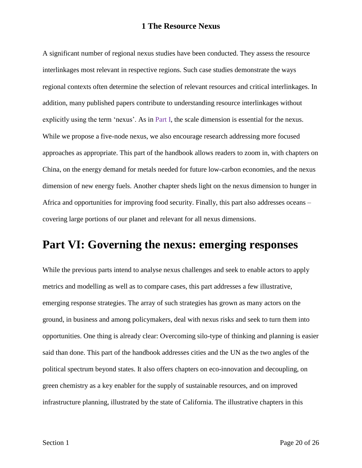A significant number of regional nexus studies have been conducted. They assess the resource interlinkages most relevant in respective regions. Such case studies demonstrate the ways regional contexts often determine the selection of relevant resources and critical interlinkages. In addition, many published papers contribute to understanding resource interlinkages without explicitly using the term 'nexus'. As in [Part I,](#page-0-0) the scale dimension is essential for the nexus. While we propose a five-node nexus, we also encourage research addressing more focused approaches as appropriate. This part of the handbook allows readers to zoom in, with chapters on China, on the energy demand for metals needed for future low-carbon economies, and the nexus dimension of new energy fuels. Another chapter sheds light on the nexus dimension to hunger in Africa and opportunities for improving food security. Finally, this part also addresses oceans – covering large portions of our planet and relevant for all nexus dimensions.

### **Part VI: Governing the nexus: emerging responses**

While the previous parts intend to analyse nexus challenges and seek to enable actors to apply metrics and modelling as well as to compare cases, this part addresses a few illustrative, emerging response strategies. The array of such strategies has grown as many actors on the ground, in business and among policymakers, deal with nexus risks and seek to turn them into opportunities. One thing is already clear: Overcoming silo-type of thinking and planning is easier said than done. This part of the handbook addresses cities and the UN as the two angles of the political spectrum beyond states. It also offers chapters on eco-innovation and decoupling, on green chemistry as a key enabler for the supply of sustainable resources, and on improved infrastructure planning, illustrated by the state of California. The illustrative chapters in this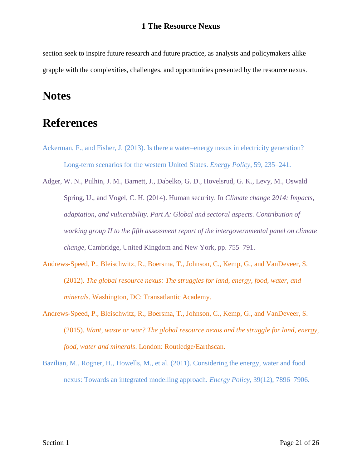section seek to inspire future research and future practice, as analysts and policymakers alike grapple with the complexities, challenges, and opportunities presented by the resource nexus.

### **Notes**

### **References**

- Ackerman, F., and Fisher, J. (2013). Is there a water–energy nexus in electricity generation? Long-term scenarios for the western United States. *Energy Policy*, 59, 235–241.
- Adger, W. N., Pulhin, J. M., Barnett, J., Dabelko, G. D., Hovelsrud, G. K., Levy, M., Oswald Spring, U., and Vogel, C. H. (2014). Human security. In *Climate change 2014: Impacts, adaptation, and vulnerability. Part A: Global and sectoral aspects. Contribution of working group II to the fifth assessment report of the intergovernmental panel on climate change*, Cambridge, United Kingdom and New York, pp. 755–791.
- Andrews-Speed, P., Bleischwitz, R., Boersma, T., Johnson, C., Kemp, G., and VanDeveer, S. (2012). *The global resource nexus: The struggles for land, energy, food, water, and minerals*. Washington, DC: Transatlantic Academy.
- [Andrews-](file:///C:/Users/Admin/Documents/autosave/15031-1345-Ref%20Mismatch%20Report.docx%23LStERROR_1)Speed, P., Bleischwitz, R., Boersma, T., Johnson, C., Kemp, G., and VanDeveer, S. (2015). *Want, waste or war? The global resource nexus and the struggle for land, energy, food, water and minerals*. London: Routledge/Earthscan.
- Bazilian, M., Rogner, H., Howells, M., et al. (2011). Considering the energy, water and food nexus: Towards an integrated modelling approach. *Energy Policy*, 39(12), 7896–7906.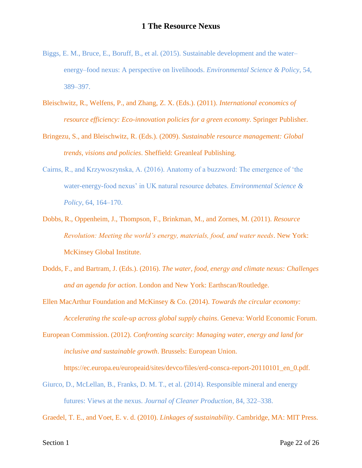- Biggs, E. M., Bruce, E., Boruff, B., et al. (2015). Sustainable development and the water– energy–food nexus: A perspective on livelihoods. *Environmental Science & Policy*, 54, 389–397.
- Bleischwitz, R., Welfens, P., and Zhang, Z. X. (Eds.). (2011). *International economics of resource efficiency: Eco-innovation policies for a green economy*. Springer Publisher.
- Bringezu, S., and Bleischwitz, R. (Eds.). (2009). *Sustainable resource management: Global trends, visions and policies*. Sheffield: Greanleaf Publishing.
- Cairns, R., and Krzywoszynska, A. (2016). Anatomy of a buzzword: The emergence of 'the water-energy-food nexus' in UK natural resource debates. *Environmental Science & Policy*, 64, 164–170.
- Dobbs, R., Oppenheim, J., Thompson, F., Brinkman, M., and Zornes, M. (2011). *Resource Revolution: Meeting the world's energy, materials, food, and water needs*. New York: McKinsey Global Institute.
- Dodds, F., and Bartram, J. (Eds.). (2016). *The water, food, energy and climate nexus: Challenges and an agenda for action*. London and New York: Earthscan/Routledge.
- Ellen MacArthur Foundation and McKinsey & Co. (2014). *Towards the circular economy: Accelerating the scale-up across global supply chains*. Geneva: World Economic Forum.
- European Commission. (2012). *Confronting scarcity: Managing water, energy and land for inclusive and sustainable growth*. Brussels: European Union. https://ec.europa.eu/europeaid/sites/devco/files/erd-consca-report-20110101\_en\_0.pdf.
- Giurco, D., McLellan, B., Franks, D. M. T., et al. (2014). Responsible mineral and energy futures: Views at the nexus. *Journal of Cleaner Production*, 84, 322–338.

Graedel, T. E., and Voet, E. v. d. (2010). *Linkages of sustainability*. Cambridge, MA: MIT Press.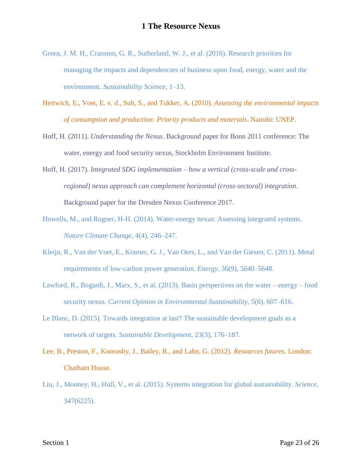- Green, J. M. H., Cranston, G. R., Sutherland, W. J., et al. (2016). Research priorities for managing the impacts and dependencies of business upon food, energy, water and the environment. *Sustainability Science*, 1–13.
- Hertwich, E., Voet, E. v. d., Suh, S., and Tukker, A. (2010). *Assessing the environmental impacts of consumption and production: Priority products and materials*. Nairobi: UNEP.
- Hoff, H. (2011). *Understanding the Nexus*. Background paper for Bonn 2011 conference: The water, energy and food security nexus, Stockholm Environment Institute.
- Hoff, H. (2017). *Integrated SDG implementation – how a vertical (cross-scale and crossregional) nexus approach can complement horizontal (cross-sectoral) integration*. Background paper for the Dresden Nexus Conference 2017.
- Howells, M., and Rogner, H-H. (2014). Water-energy nexus: Assessing integrated systems. *Nature Climate Change*, 4(4), 246–247.
- Kleijn, R., Van der Voet, E., Kramer, G. J., Van Oers, L., and Van der Giesen, C. (2011). Metal requirements of low-carbon power generation. *Energy*, 36(9), 5640–5648.
- Lawford, R., Bogardi, J., Marx, S., et al*.* (2013). Basin perspectives on the water energy food security nexus. *Current Opinion in Environmental Sustainability*, 5(6), 607–616.
- Le Blanc, D. (2015). Towards integration at last? The sustainable development goals as a network of targets. *Sustainable Development*, 23(3), 176–187.
- Lee, B., Preston, F., Kooroshy, J., Bailey, R., and Lahn, G. (2012). *Resources futures*. London: Chatham House.
- Liu, J., Mooney, H., Hull, V., et al. (2015). Systems integration for global sustainability. *Science*, 347(6225).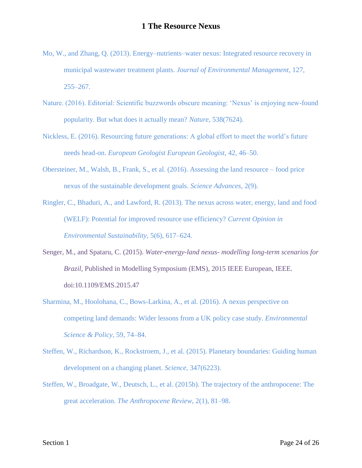- Mo, W., and Zhang, Q. (2013). Energy–nutrients–water nexus: Integrated resource recovery in municipal wastewater treatment plants. *Journal of Environmental Management*, 127, 255–267.
- Nature. (2016). Editorial: Scientific buzzwords obscure meaning: 'Nexus' is enjoying new-found popularity. But what does it actually mean? *Nature*, 538(7624).
- Nickless, E. (2016). Resourcing future generations: A global effort to meet the world's future needs head-on. *European Geologist European Geologist*, 42, 46–50.
- Obersteiner, M., Walsh, B., Frank, S., et al. (2016). Assessing the land resource food price nexus of the sustainable development goals. *Science Advances*, 2(9).

[Ringler,](file:///C:/Users/Admin/Documents/autosave/15031-1345-Ref%20Mismatch%20Report.docx%23LStERROR_4) C., Bhaduri, A., and Lawford, R. (2013). The nexus across water, energy, land and food (WELF): Potential for improved resource use efficiency? *Current Opinion in Environmental Sustainability*, 5(6), 617–624.

- Senger, M., and Spataru, C. (2015). *Water-energy-land nexus- modelling long-term scenarios for Brazil*, Published in Modelling Symposium (EMS), 2015 IEEE European, IEEE. doi:10.1109/EMS.2015.47
- Sharmina, M., Hoolohana, C., Bows-Larkina, A., et al. (2016). A nexus perspective on competing land demands: Wider lessons from a UK policy case study. *Environmental Science & Policy*, 59, 74–84.
- Steffen, W., Richardson, K., Rockstroem, J., et al. (2015). Planetary boundaries: Guiding human development on a changing planet. *Science*, 347(6223).
- Steffen, W., Broadgate, W., Deutsch, L., et al. (2015b). The trajectory of the anthropocene: The great acceleration. *The Anthropocene Review*, 2(1), 81–98.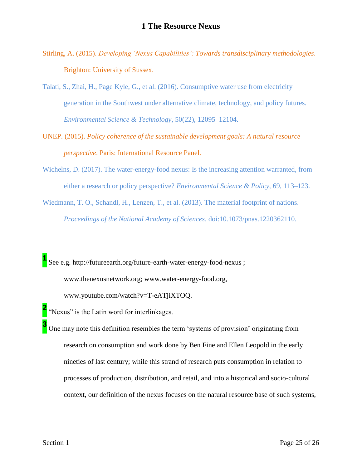- Stirling, A. (2015). *Developing 'Nexus Capabilities': Towards transdisciplinary methodologies*. Brighton: University of Sussex.
- Talati, S., Zhai, H., Page Kyle, G., et al. (2016). Consumptive water use from electricity generation in the Southwest under alternative climate, technology, and policy futures. *Environmental Science & Technology*, 50(22), 12095–12104.
- UNEP. (2015). *Policy coherence of the sustainable development goals: A natural resource perspective*. Paris: International Resource Panel.
- Wichelns, D. (2017). The water-energy-food nexus: Is the increasing attention warranted, from either a research or policy perspective? *Environmental Science & Policy*, 69, 113–123.
- Wiedmann, T. O., Schandl, H., Lenzen, T., et al. (2013). The material footprint of nations. *Proceedings of the National Academy of Sciences*. doi:10.1073/pnas.1220362110.

<sup>1</sup> See e.g. http://futureearth.org/future-earth-water-energy-food-nexus ;

www.thenexusnetwork.org; www.water-energy-food.org,

www.youtube.com/watch?v=T-eATjiXTOQ.

- **2** "Nexus" is the Latin word for interlinkages.
- **3** One may note this definition resembles the term 'systems of provision' originating from research on consumption and work done by Ben Fine and Ellen Leopold in the early nineties of last century; while this strand of research puts consumption in relation to processes of production, distribution, and retail, and into a historical and socio-cultural context, our definition of the nexus focuses on the natural resource base of such systems,

 $\overline{a}$